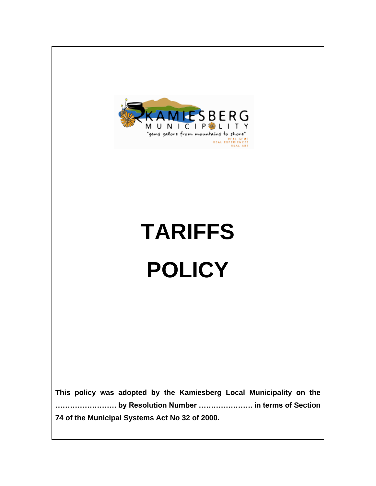

# **TARIFFS POLICY**

**This policy was adopted by the Kamiesberg Local Municipality on the ……………………. by Resolution Number …………………. in terms of Section 74 of the Municipal Systems Act No 32 of 2000.**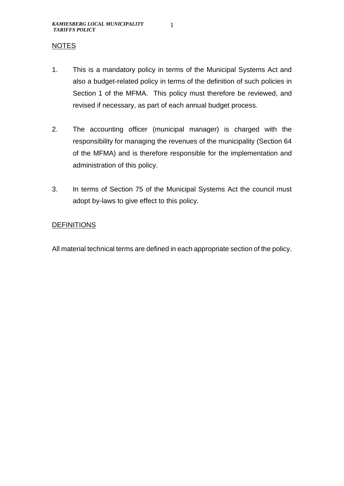1

#### NOTES

- 1. This is a mandatory policy in terms of the Municipal Systems Act and also a budget-related policy in terms of the definition of such policies in Section 1 of the MFMA. This policy must therefore be reviewed, and revised if necessary, as part of each annual budget process.
- 2. The accounting officer (municipal manager) is charged with the responsibility for managing the revenues of the municipality (Section 64 of the MFMA) and is therefore responsible for the implementation and administration of this policy.
- 3. In terms of Section 75 of the Municipal Systems Act the council must adopt by-laws to give effect to this policy.

#### **DEFINITIONS**

All material technical terms are defined in each appropriate section of the policy.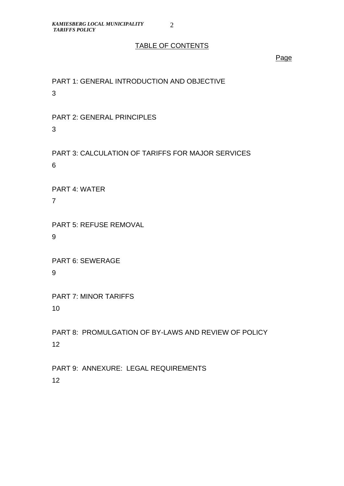#### TABLE OF CONTENTS

Page

PART 1: GENERAL INTRODUCTION AND OBJECTIVE 3

PART 2: GENERAL PRINCIPLES 3

PART 3: CALCULATION OF TARIFFS FOR MAJOR SERVICES 6

PART 4: WATER

7

PART 5: REFUSE REMOVAL 9

PART 6: SEWERAGE 9

PART 7: MINOR TARIFFS 10

PART 8: PROMULGATION OF BY-LAWS AND REVIEW OF POLICY 12

PART 9: ANNEXURE: LEGAL REQUIREMENTS 12

2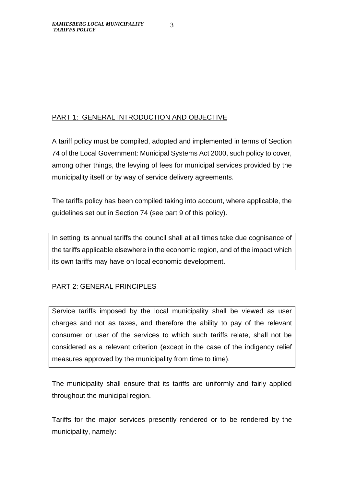### PART 1: GENERAL INTRODUCTION AND OBJECTIVE

A tariff policy must be compiled, adopted and implemented in terms of Section 74 of the Local Government: Municipal Systems Act 2000, such policy to cover, among other things, the levying of fees for municipal services provided by the municipality itself or by way of service delivery agreements.

The tariffs policy has been compiled taking into account, where applicable, the guidelines set out in Section 74 (see part 9 of this policy).

In setting its annual tariffs the council shall at all times take due cognisance of the tariffs applicable elsewhere in the economic region, and of the impact which its own tariffs may have on local economic development.

### PART 2: GENERAL PRINCIPLES

Service tariffs imposed by the local municipality shall be viewed as user charges and not as taxes, and therefore the ability to pay of the relevant consumer or user of the services to which such tariffs relate, shall not be considered as a relevant criterion (except in the case of the indigency relief measures approved by the municipality from time to time).

The municipality shall ensure that its tariffs are uniformly and fairly applied throughout the municipal region.

Tariffs for the major services presently rendered or to be rendered by the municipality, namely: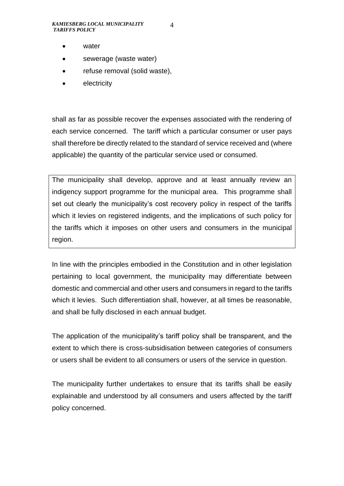4

- water
- sewerage (waste water)
- refuse removal (solid waste),
- **electricity**

shall as far as possible recover the expenses associated with the rendering of each service concerned. The tariff which a particular consumer or user pays shall therefore be directly related to the standard of service received and (where applicable) the quantity of the particular service used or consumed.

The municipality shall develop, approve and at least annually review an indigency support programme for the municipal area. This programme shall set out clearly the municipality's cost recovery policy in respect of the tariffs which it levies on registered indigents, and the implications of such policy for the tariffs which it imposes on other users and consumers in the municipal region.

In line with the principles embodied in the Constitution and in other legislation pertaining to local government, the municipality may differentiate between domestic and commercial and other users and consumers in regard to the tariffs which it levies. Such differentiation shall, however, at all times be reasonable, and shall be fully disclosed in each annual budget.

The application of the municipality's tariff policy shall be transparent, and the extent to which there is cross-subsidisation between categories of consumers or users shall be evident to all consumers or users of the service in question.

The municipality further undertakes to ensure that its tariffs shall be easily explainable and understood by all consumers and users affected by the tariff policy concerned.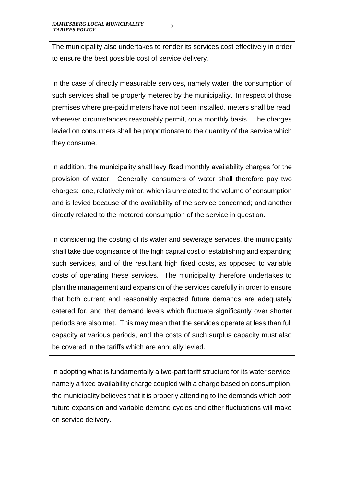The municipality also undertakes to render its services cost effectively in order to ensure the best possible cost of service delivery.

In the case of directly measurable services, namely water, the consumption of such services shall be properly metered by the municipality. In respect of those premises where pre-paid meters have not been installed, meters shall be read, wherever circumstances reasonably permit, on a monthly basis. The charges levied on consumers shall be proportionate to the quantity of the service which they consume.

In addition, the municipality shall levy fixed monthly availability charges for the provision of water. Generally, consumers of water shall therefore pay two charges: one, relatively minor, which is unrelated to the volume of consumption and is levied because of the availability of the service concerned; and another directly related to the metered consumption of the service in question.

In considering the costing of its water and sewerage services, the municipality shall take due cognisance of the high capital cost of establishing and expanding such services, and of the resultant high fixed costs, as opposed to variable costs of operating these services. The municipality therefore undertakes to plan the management and expansion of the services carefully in order to ensure that both current and reasonably expected future demands are adequately catered for, and that demand levels which fluctuate significantly over shorter periods are also met. This may mean that the services operate at less than full capacity at various periods, and the costs of such surplus capacity must also be covered in the tariffs which are annually levied.

In adopting what is fundamentally a two-part tariff structure for its water service, namely a fixed availability charge coupled with a charge based on consumption, the municipality believes that it is properly attending to the demands which both future expansion and variable demand cycles and other fluctuations will make on service delivery.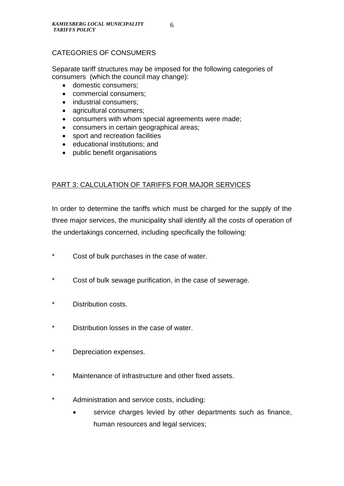#### CATEGORIES OF CONSUMERS

Separate tariff structures may be imposed for the following categories of consumers (which the council may change):

- domestic consumers;
- commercial consumers;
- industrial consumers;
- agricultural consumers;
- consumers with whom special agreements were made;
- consumers in certain geographical areas;
- sport and recreation facilities
- educational institutions; and
- public benefit organisations

#### PART 3: CALCULATION OF TARIFFS FOR MAJOR SERVICES

In order to determine the tariffs which must be charged for the supply of the three major services, the municipality shall identify all the costs of operation of the undertakings concerned, including specifically the following:

- \* Cost of bulk purchases in the case of water.
- \* Cost of bulk sewage purification, in the case of sewerage.
- \* Distribution costs.
- \* Distribution losses in the case of water.
- \* Depreciation expenses.
- Maintenance of infrastructure and other fixed assets.
- \* Administration and service costs, including:
	- service charges levied by other departments such as finance, human resources and legal services;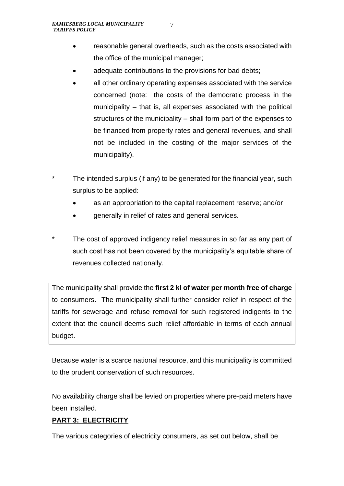- reasonable general overheads, such as the costs associated with the office of the municipal manager;
- adequate contributions to the provisions for bad debts;
- all other ordinary operating expenses associated with the service concerned (note: the costs of the democratic process in the municipality – that is, all expenses associated with the political structures of the municipality – shall form part of the expenses to be financed from property rates and general revenues, and shall not be included in the costing of the major services of the municipality).
- \* The intended surplus (if any) to be generated for the financial year, such surplus to be applied:
	- as an appropriation to the capital replacement reserve; and/or
	- generally in relief of rates and general services.
- The cost of approved indigency relief measures in so far as any part of such cost has not been covered by the municipality's equitable share of revenues collected nationally.

The municipality shall provide the **first 2 kl of water per month free of charge** to consumers. The municipality shall further consider relief in respect of the tariffs for sewerage and refuse removal for such registered indigents to the extent that the council deems such relief affordable in terms of each annual budget.

Because water is a scarce national resource, and this municipality is committed to the prudent conservation of such resources.

No availability charge shall be levied on properties where pre-paid meters have been installed.

### **PART 3: ELECTRICITY**

The various categories of electricity consumers, as set out below, shall be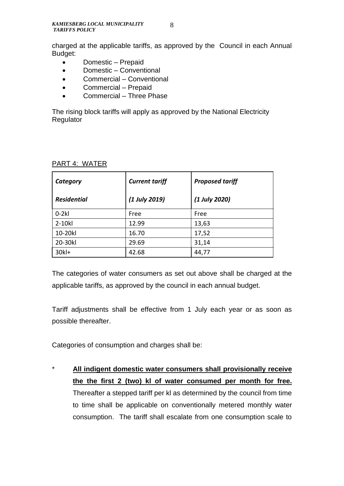charged at the applicable tariffs, as approved by the Council in each Annual Budget:

- Domestic Prepaid
- Domestic Conventional
- Commercial Conventional
- Commercial Prepaid
- Commercial Three Phase

The rising block tariffs will apply as approved by the National Electricity Regulator

| Category           | <b>Current tariff</b> | <b>Proposed tariff</b> |
|--------------------|-----------------------|------------------------|
| <b>Residential</b> | (1 July 2019)         | (1 July 2020)          |
| $0-2kl$            | Free                  | Free                   |
| 2-10kl             | 12.99                 | 13,63                  |
| 10-20kl            | 16.70                 | 17,52                  |
| 20-30kl            | 29.69                 | 31,14                  |
| 30k                | 42.68                 | 44,77                  |

#### PART 4: WATER

The categories of water consumers as set out above shall be charged at the applicable tariffs, as approved by the council in each annual budget.

Tariff adjustments shall be effective from 1 July each year or as soon as possible thereafter.

Categories of consumption and charges shall be:

\* **All indigent domestic water consumers shall provisionally receive the the first 2 (two) kl of water consumed per month for free.** Thereafter a stepped tariff per kl as determined by the council from time to time shall be applicable on conventionally metered monthly water consumption. The tariff shall escalate from one consumption scale to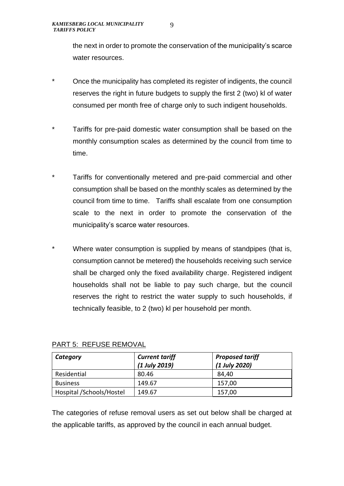the next in order to promote the conservation of the municipality's scarce water resources.

- Once the municipality has completed its register of indigents, the council reserves the right in future budgets to supply the first 2 (two) kl of water consumed per month free of charge only to such indigent households.
- \* Tariffs for pre-paid domestic water consumption shall be based on the monthly consumption scales as determined by the council from time to time.
- \* Tariffs for conventionally metered and pre-paid commercial and other consumption shall be based on the monthly scales as determined by the council from time to time. Tariffs shall escalate from one consumption scale to the next in order to promote the conservation of the municipality's scarce water resources.
- Where water consumption is supplied by means of standpipes (that is, consumption cannot be metered) the households receiving such service shall be charged only the fixed availability charge. Registered indigent households shall not be liable to pay such charge, but the council reserves the right to restrict the water supply to such households, if technically feasible, to 2 (two) kl per household per month.

| Category                 | <b>Current tariff</b><br>(1 July 2019) | <b>Proposed tariff</b><br>(1 July 2020) |
|--------------------------|----------------------------------------|-----------------------------------------|
| Residential              | 80.46                                  | 84,40                                   |
| <b>Business</b>          | 149.67                                 | 157,00                                  |
| Hospital /Schools/Hostel | 149.67                                 | 157,00                                  |

#### PART 5: REFUSE REMOVAL

The categories of refuse removal users as set out below shall be charged at the applicable tariffs, as approved by the council in each annual budget.

9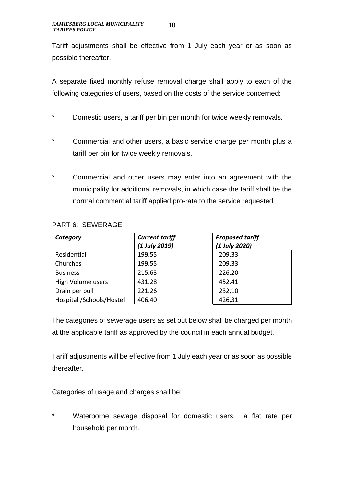Tariff adjustments shall be effective from 1 July each year or as soon as possible thereafter.

A separate fixed monthly refuse removal charge shall apply to each of the following categories of users, based on the costs of the service concerned:

- \* Domestic users, a tariff per bin per month for twice weekly removals.
- \* Commercial and other users, a basic service charge per month plus a tariff per bin for twice weekly removals.
- \* Commercial and other users may enter into an agreement with the municipality for additional removals, in which case the tariff shall be the normal commercial tariff applied pro-rata to the service requested.

| Category                 | <b>Current tariff</b> | <b>Proposed tariff</b> |
|--------------------------|-----------------------|------------------------|
|                          | (1 July 2019)         | (1 July 2020)          |
| Residential              | 199.55                | 209,33                 |
| Churches                 | 199.55                | 209,33                 |
| <b>Business</b>          | 215.63                | 226,20                 |
| High Volume users        | 431.28                | 452,41                 |
| Drain per pull           | 221.26                | 232,10                 |
| Hospital /Schools/Hostel | 406.40                | 426,31                 |

#### PART 6: SEWERAGE

The categories of sewerage users as set out below shall be charged per month at the applicable tariff as approved by the council in each annual budget.

Tariff adjustments will be effective from 1 July each year or as soon as possible thereafter.

Categories of usage and charges shall be:

Waterborne sewage disposal for domestic users: a flat rate per household per month.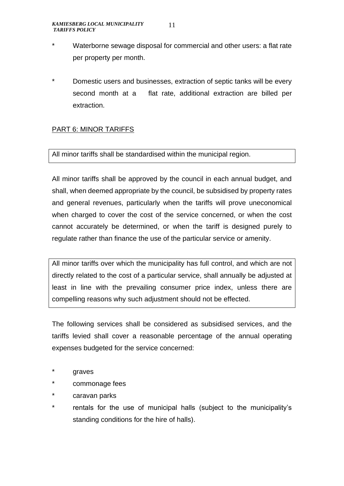- \* Waterborne sewage disposal for commercial and other users: a flat rate per property per month.
- Domestic users and businesses, extraction of septic tanks will be every second month at a flat rate, additional extraction are billed per extraction.

#### PART 6: MINOR TARIFFS

#### All minor tariffs shall be standardised within the municipal region.

All minor tariffs shall be approved by the council in each annual budget, and shall, when deemed appropriate by the council, be subsidised by property rates and general revenues, particularly when the tariffs will prove uneconomical when charged to cover the cost of the service concerned, or when the cost cannot accurately be determined, or when the tariff is designed purely to regulate rather than finance the use of the particular service or amenity.

All minor tariffs over which the municipality has full control, and which are not directly related to the cost of a particular service, shall annually be adjusted at least in line with the prevailing consumer price index, unless there are compelling reasons why such adjustment should not be effected.

The following services shall be considered as subsidised services, and the tariffs levied shall cover a reasonable percentage of the annual operating expenses budgeted for the service concerned:

- \* graves
- commonage fees
- caravan parks
- rentals for the use of municipal halls (subject to the municipality's standing conditions for the hire of halls).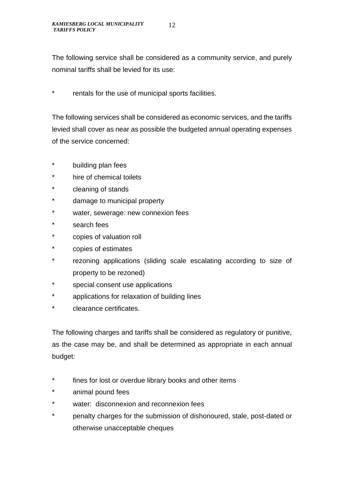The following service shall be considered as a community service, and purely nominal tariffs shall be levied for its use:

rentals for the use of municipal sports facilities.

The following services shall be considered as economic services, and the tariffs levied shall cover as near as possible the budgeted annual operating expenses of the service concerned:

- \* building plan fees
- hire of chemical toilets
- \* cleaning of stands
- damage to municipal property
- \* water, sewerage: new connexion fees
- search fees
- \* copies of valuation roll
- \* copies of estimates
- \* rezoning applications (sliding scale escalating according to size of property to be rezoned)
- \* special consent use applications
- \* applications for relaxation of building lines
- clearance certificates.

The following charges and tariffs shall be considered as regulatory or punitive, as the case may be, and shall be determined as appropriate in each annual budget:

- \* fines for lost or overdue library books and other items
- \* animal pound fees
- \* water: disconnexion and reconnexion fees
- \* penalty charges for the submission of dishonoured, stale, post-dated or otherwise unacceptable cheques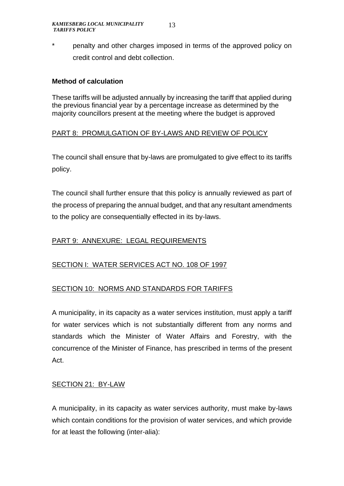\* penalty and other charges imposed in terms of the approved policy on credit control and debt collection.

#### **Method of calculation**

These tariffs will be adjusted annually by increasing the tariff that applied during the previous financial year by a percentage increase as determined by the majority councillors present at the meeting where the budget is approved

#### PART 8: PROMULGATION OF BY-LAWS AND REVIEW OF POLICY

The council shall ensure that by-laws are promulgated to give effect to its tariffs policy.

The council shall further ensure that this policy is annually reviewed as part of the process of preparing the annual budget, and that any resultant amendments to the policy are consequentially effected in its by-laws.

#### PART 9: ANNEXURE: LEGAL REQUIREMENTS

#### SECTION I: WATER SERVICES ACT NO. 108 OF 1997

#### SECTION 10: NORMS AND STANDARDS FOR TARIFFS

A municipality, in its capacity as a water services institution, must apply a tariff for water services which is not substantially different from any norms and standards which the Minister of Water Affairs and Forestry, with the concurrence of the Minister of Finance, has prescribed in terms of the present Act.

#### SECTION 21: BY-LAW

A municipality, in its capacity as water services authority, must make by-laws which contain conditions for the provision of water services, and which provide for at least the following (inter-alia):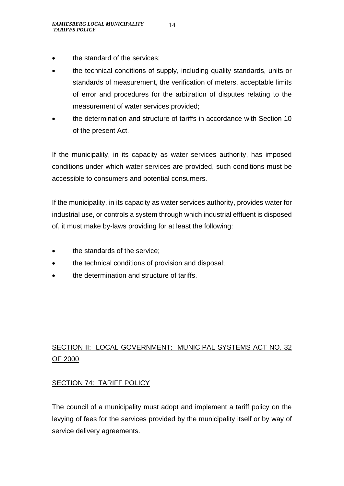- the standard of the services;
- the technical conditions of supply, including quality standards, units or standards of measurement, the verification of meters, acceptable limits of error and procedures for the arbitration of disputes relating to the measurement of water services provided;
- the determination and structure of tariffs in accordance with Section 10 of the present Act.

If the municipality, in its capacity as water services authority, has imposed conditions under which water services are provided, such conditions must be accessible to consumers and potential consumers.

If the municipality, in its capacity as water services authority, provides water for industrial use, or controls a system through which industrial effluent is disposed of, it must make by-laws providing for at least the following:

- the standards of the service:
- the technical conditions of provision and disposal;
- the determination and structure of tariffs.

## SECTION II: LOCAL GOVERNMENT: MUNICIPAL SYSTEMS ACT NO. 32 OF 2000

#### SECTION 74: TARIFF POLICY

The council of a municipality must adopt and implement a tariff policy on the levying of fees for the services provided by the municipality itself or by way of service delivery agreements.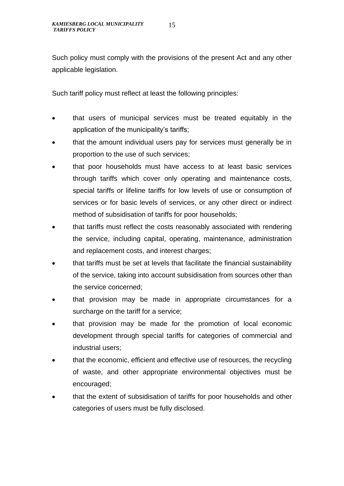Such policy must comply with the provisions of the present Act and any other applicable legislation.

Such tariff policy must reflect at least the following principles:

- that users of municipal services must be treated equitably in the application of the municipality's tariffs;
- that the amount individual users pay for services must generally be in proportion to the use of such services;
- that poor households must have access to at least basic services through tariffs which cover only operating and maintenance costs, special tariffs or lifeline tariffs for low levels of use or consumption of services or for basic levels of services, or any other direct or indirect method of subsidisation of tariffs for poor households;
- that tariffs must reflect the costs reasonably associated with rendering the service, including capital, operating, maintenance, administration and replacement costs, and interest charges;
- that tariffs must be set at levels that facilitate the financial sustainability of the service, taking into account subsidisation from sources other than the service concerned;
- that provision may be made in appropriate circumstances for a surcharge on the tariff for a service;
- that provision may be made for the promotion of local economic development through special tariffs for categories of commercial and industrial users;
- that the economic, efficient and effective use of resources, the recycling of waste, and other appropriate environmental objectives must be encouraged;
- that the extent of subsidisation of tariffs for poor households and other categories of users must be fully disclosed.